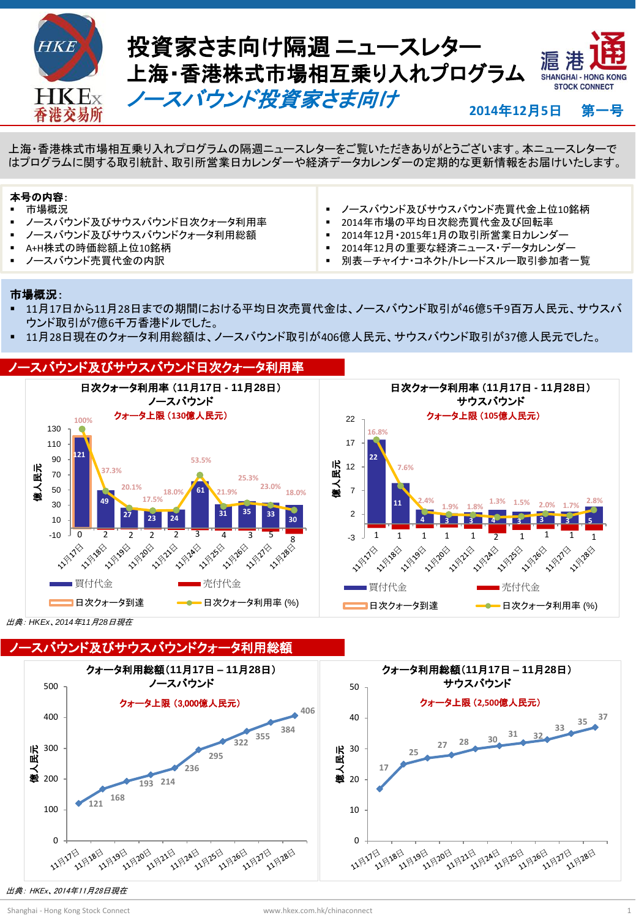

**Hot Topics** 上海・香港株式市場相互乗り入れプログラムの隔週ニュースレターをご覧いただきありがとうございます。本ニュースレターで はプログラムに関する取引統計、取引所営業日カレンダーや経済データカレンダーの定期的な更新情報をお届けいたします。

#### 本号の内容:

- 市場概況
- ノースバウンド及びサウスバウンド日次クォータ利用率
- ノースバウンド及びサウスバウンドクォータ利用総額
- A+H株式の時価総額上位10銘柄
- ノースバウンド売買代金の内訳
- ノースバウンド及びサウスバウンド売買代金上位10銘柄
- 2014年市場の平均日次総売買代金及び回転率
- 2014年12月・2015年1月の取引所営業日カレンダー
- 2014年12月の重要な経済ニュース・データカレンダー
- 別表―チャイナ・コネクト/トレードスルー取引参加者一覧

#### 市場概況:

- 11月17日から11月28日までの期間における平均日次売買代金は、ノースバウンド取引が46億5千9百万人民元、サウスバ ウンド取引が7億6千万香港ドルでした。
- 11月28日現在のクォータ利用総額は、ノースバウンド取引が406億人民元、サウスバウンド取引が37億人民元でした。



出典: *HKEx*、*2014*年*11*月*28*日現在

ノースバウンド及びサウスバウンドクォータ利用総額



出典: HKEx、2014年11月28日現在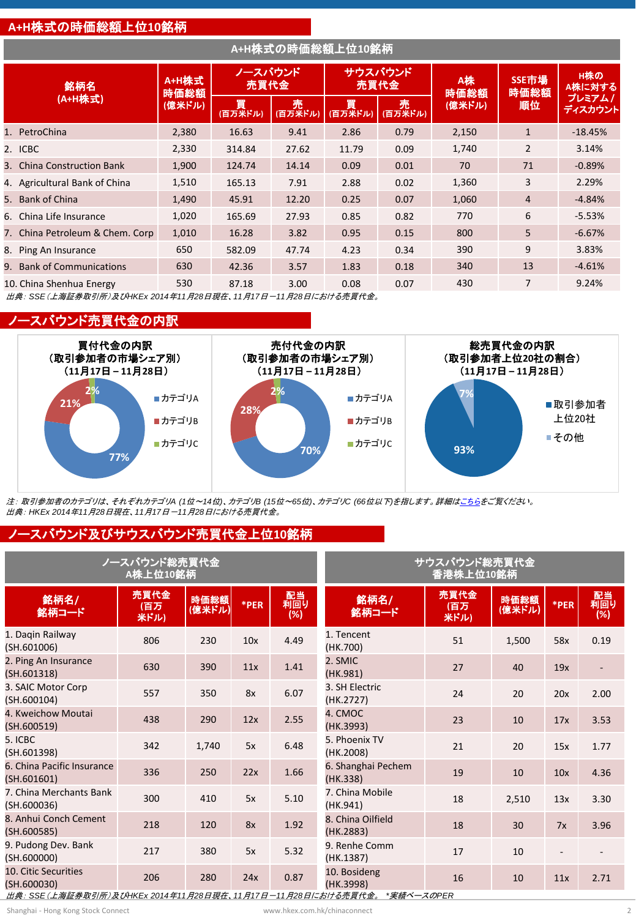#### **A+H**株式の時価総額上位**10**銘柄

|                | A+H株式の時価総額上位10銘柄                |               |                 |              |              |                 |            |                     |                                    |
|----------------|---------------------------------|---------------|-----------------|--------------|--------------|-----------------|------------|---------------------|------------------------------------|
| 銘柄名<br>(A+H株式) |                                 | A+H株式<br>時価総額 | ノースバウンド<br>売買代金 |              |              | サウスバウンド<br>売買代金 | A株<br>時価総額 | SSE市場<br>時価総額<br>順位 | H株の<br>A株に対する<br>プレミアムノ<br>ディスカウント |
|                |                                 | (億米ドル)        | 買<br>(百万米ドル)    | 売<br>(百万米ドル) | 買<br>(百万米ドル) | 売<br>(百万米ドル)    | (億米ドル)     |                     |                                    |
|                | 1. PetroChina                   | 2,380         | 16.63           | 9.41         | 2.86         | 0.79            | 2,150      | $\mathbf{1}$        | $-18.45%$                          |
|                | 2. ICBC                         | 2,330         | 314.84          | 27.62        | 11.79        | 0.09            | 1,740      | $\overline{2}$      | 3.14%                              |
|                | 3. China Construction Bank      | 1,900         | 124.74          | 14.14        | 0.09         | 0.01            | 70         | 71                  | $-0.89%$                           |
|                | 4. Agricultural Bank of China   | 1,510         | 165.13          | 7.91         | 2.88         | 0.02            | 1,360      | 3                   | 2.29%                              |
|                | 5. Bank of China                | 1,490         | 45.91           | 12.20        | 0.25         | 0.07            | 1,060      | 4                   | $-4.84%$                           |
|                | 6. China Life Insurance         | 1,020         | 165.69          | 27.93        | 0.85         | 0.82            | 770        | 6                   | $-5.53%$                           |
|                | 7. China Petroleum & Chem. Corp | 1,010         | 16.28           | 3.82         | 0.95         | 0.15            | 800        | 5                   | $-6.67%$                           |
|                | 8. Ping An Insurance            | 650           | 582.09          | 47.74        | 4.23         | 0.34            | 390        | 9                   | 3.83%                              |
|                | 9. Bank of Communications       | 630           | 42.36           | 3.57         | 1.83         | 0.18            | 340        | 13                  | $-4.61%$                           |
|                | 10. China Shenhua Energy        | 530           | 87.18           | 3.00         | 0.08         | 0.07            | 430        | 7                   | 9.24%                              |

出典: *SSE*(上海証券取引所)及び*HKEx 2014*年*11*月*28*日現在、*11*月*17*日-*11*月*28*日における売買代金。

#### ノースバウンド売買代金の内訳



注: 取引参加者のカテゴリは、それぞれカテゴリ*A (1*位~*14*位*)*、カテゴリ*B (15*位~*65*位*)*、カテゴリ*C (66*位以下*)*を指します。詳細[はこちらを](http://www.hkex.com.hk/eng/stat/epstat/exreport.htm)ご覧ください。 出典: *HKEx 2014*年*11*月*28*日現在、*11*月*17*日-*11*月*28*日における売買代金。

### ノースバウンド及びサウスバウンド売買代金上位**10**銘柄

|                                           | ノースバウンド総売買代金<br>A株上位10銘柄 |                |      | サウスバウンド総売買代金<br>香港株上位10銘柄 |                                |                     |                |      |                  |
|-------------------------------------------|--------------------------|----------------|------|---------------------------|--------------------------------|---------------------|----------------|------|------------------|
| 銘柄名/<br>銘柄コード                             | 売買代金<br>(百万<br>米ドル)      | 時価総額<br>(億米ドル) | *PER | 配当<br>利回り<br>(%)          | 銘柄名/<br>銘柄コード                  | 売買代金<br>(百万<br>米ドル) | 時価総額<br>(億米ドル) | *PER | 配当<br>利回り<br>(%) |
| 1. Dagin Railway<br>(SH.601006)           | 806                      | 230            | 10x  | 4.49                      | 1. Tencent<br>(HK.700)         | 51                  | 1,500          | 58x  | 0.19             |
| 2. Ping An Insurance<br>(SH.601318)       | 630                      | 390            | 11x  | 1.41                      | 2. SMIC<br>(HK.981)            | 27                  | 40             | 19x  |                  |
| 3. SAIC Motor Corp<br>(SH.600104)         | 557                      | 350            | 8x   | 6.07                      | 3. SH Electric<br>(HK.2727)    | 24                  | 20             | 20x  | 2.00             |
| 4. Kweichow Moutai<br>(SH.600519)         | 438                      | 290            | 12x  | 2.55                      | 4. CMOC<br>(HK.3993)           | 23                  | 10             | 17x  | 3.53             |
| 5. ICBC<br>(SH.601398)                    | 342                      | 1,740          | 5x   | 6.48                      | 5. Phoenix TV<br>(HK.2008)     | 21                  | 20             | 15x  | 1.77             |
| 6. China Pacific Insurance<br>(SH.601601) | 336                      | 250            | 22x  | 1.66                      | 6. Shanghai Pechem<br>(HK.338) | 19                  | 10             | 10x  | 4.36             |
| 7. China Merchants Bank<br>(SH.600036)    | 300                      | 410            | 5x   | 5.10                      | 7. China Mobile<br>(HK.941)    | 18                  | 2,510          | 13x  | 3.30             |
| 8. Anhui Conch Cement<br>(SH.600585)      | 218                      | 120            | 8x   | 1.92                      | 8. China Oilfield<br>(HK.2883) | 18                  | 30             | 7x   | 3.96             |
| 9. Pudong Dev. Bank<br>(SH.600000)        | 217                      | 380            | 5x   | 5.32                      | 9. Renhe Comm<br>(HK.1387)     | 17                  | 10             |      |                  |
| 10. Citic Securities<br>(SH.600030)       | 206                      | 280            | 24x  | 0.87                      | 10. Bosideng<br>(HK.3998)      | 16                  | 10             | 11x  | 2.71             |

出典: *SSE*(上海証券取引所)及び*HKEx 2014*年*11*月*28*日現在、*11*月*17*日-*11*月*28*日における売買代金。 *\**実績ベースの*PER*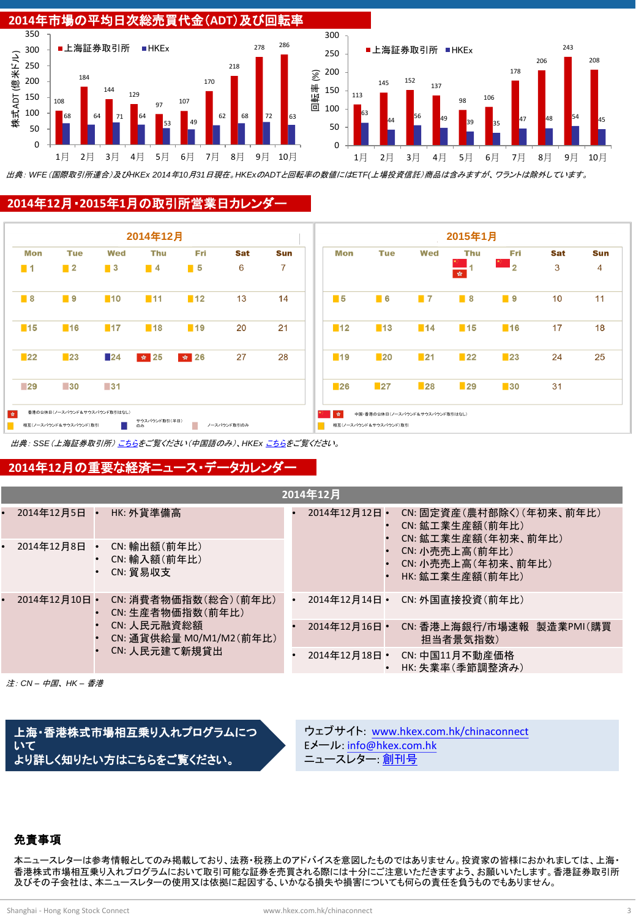

出典: *WFE*(国際取引所連合)及び*HKEx 2014*年*10*月*31*日現在。*HKEx*の*ADT*と回転率の数値には*ETF(*上場投資信託)商品は含みますが、ワラントは除外しています。

#### **2014**年**12**月・**2015**年**1**月の取引所営業日カレンダー



出典: *SSE*(上海証券取引所) [こちら](http://www.sse.com.cn/marketservices/hkexsc/home/holiday/)をご覧ください(中国語のみ)、*HKEx* [こちらを](http://www.hkex.com.hk/eng/market/sec_tradinfra/chinaconnect/Calendar.htm)ご覧ください。

#### **2014**年**12**月の重要な経済ニュース・データカレンダー

| 2014年12月      |                                                                             |                                          |               |                  |                                   |                                                                    |  |  |
|---------------|-----------------------------------------------------------------------------|------------------------------------------|---------------|------------------|-----------------------------------|--------------------------------------------------------------------|--|--|
| 2014年12月5日 •  |                                                                             | HK: 外貨準備高                                |               | $2014412$ 月12日 • |                                   | CN: 固定資産(農村部除く)(年初来、前年比)<br>CN: 鉱工業生産額(前年比)<br>CN: 鉱工業生産額(年初来、前年比) |  |  |
| 2014年12月8日    |                                                                             | CN: 輸出額(前年比)<br>CN: 輸入額(前年比)<br>CN: 留易収支 |               |                  |                                   | CN: 小売売上高(前年比)<br>CN: 小売売上高 (年初来、前年比)<br>HK: 鉱工業生産額(前年比)           |  |  |
| 2014年12月10日 • | CN: 生産者物価指数(前年比)<br>CN: 人民元融資総額<br>CN: 通貨供給量 M0/M1/M2(前年比)<br>CN: 人民元建て新規貸出 | CN: 消費者物価指数(総合)(前年比)                     |               | 2014年12月14日 •    |                                   | CN: 外国直接投資(前年比)                                                    |  |  |
|               |                                                                             |                                          |               | 2014年12月16日 •    |                                   | CN:香港上海銀行/市場速報 製造業PMI(購買<br>担当者景気指数)                               |  |  |
|               |                                                                             |                                          | 2014年12月18日 • | $\bullet$        | CN: 中国11月不動産価格<br>HK: 失業率(季節調整済み) |                                                                    |  |  |

注: *CN –* 中国、 *HK –* 香港

上海・香港株式市場相互乗り入れプログラムにつ いて より詳しく知りたい方はこちらをご覧ください。

ウェブサイト: [www.hkex.com.hk/chinaconnect](http://www.hkex.com.hk/chinaconnect) Eメール: [info@hkex.com.hk](mailto:info@hkex.com.hk) ニュースレター: <u>[創刊号](mailto:info@hkex.com.hk)</u>

#### 免責事項

本ニュースレターは参考情報としてのみ掲載しており、法務・税務上のアドバイスを意図したものではありません。投資家の皆様におかれましては、上海・ 香港株式市場相互乗り入れプログラムにおいて取引可能な証券を売買される際には十分にご注意いただきますよう、お願いいたします。香港証券取引所 及びその子会社は、本ニュースレターの使用又は依拠に起因する、いかなる損失や損害についても何らの責任を負うものでもありません。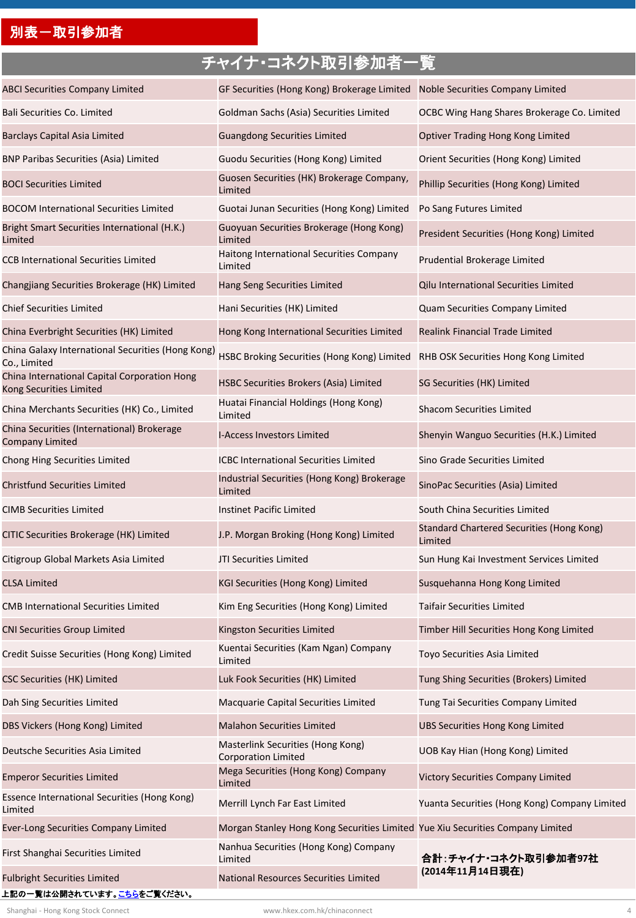## 別表-取引参加者

## チャイナ・コネクト取引参加者一覧

| <b>ABCI Securities Company Limited</b>                                           | GF Securities (Hong Kong) Brokerage Limited                                    | Noble Securities Company Limited                            |
|----------------------------------------------------------------------------------|--------------------------------------------------------------------------------|-------------------------------------------------------------|
| Bali Securities Co. Limited                                                      | Goldman Sachs (Asia) Securities Limited                                        | OCBC Wing Hang Shares Brokerage Co. Limited                 |
| <b>Barclays Capital Asia Limited</b>                                             | <b>Guangdong Securities Limited</b>                                            | Optiver Trading Hong Kong Limited                           |
| <b>BNP Paribas Securities (Asia) Limited</b>                                     | Guodu Securities (Hong Kong) Limited                                           | Orient Securities (Hong Kong) Limited                       |
| <b>BOCI Securities Limited</b>                                                   | Guosen Securities (HK) Brokerage Company,<br>Limited                           | Phillip Securities (Hong Kong) Limited                      |
| <b>BOCOM International Securities Limited</b>                                    | Guotai Junan Securities (Hong Kong) Limited                                    | Po Sang Futures Limited                                     |
| Bright Smart Securities International (H.K.)<br>Limited                          | Guoyuan Securities Brokerage (Hong Kong)<br>Limited                            | President Securities (Hong Kong) Limited                    |
| <b>CCB International Securities Limited</b>                                      | Haitong International Securities Company<br>Limited                            | Prudential Brokerage Limited                                |
| Changjiang Securities Brokerage (HK) Limited                                     | Hang Seng Securities Limited                                                   | Qilu International Securities Limited                       |
| <b>Chief Securities Limited</b>                                                  | Hani Securities (HK) Limited                                                   | Quam Securities Company Limited                             |
| China Everbright Securities (HK) Limited                                         | Hong Kong International Securities Limited                                     | <b>Realink Financial Trade Limited</b>                      |
| China Galaxy International Securities (Hong Kong)<br>Co., Limited                | HSBC Broking Securities (Hong Kong) Limited                                    | RHB OSK Securities Hong Kong Limited                        |
| China International Capital Corporation Hong<br>Kong Securities Limited          | HSBC Securities Brokers (Asia) Limited                                         | SG Securities (HK) Limited                                  |
| China Merchants Securities (HK) Co., Limited                                     | Huatai Financial Holdings (Hong Kong)<br>Limited                               | <b>Shacom Securities Limited</b>                            |
| China Securities (International) Brokerage<br><b>Company Limited</b>             | <b>I-Access Investors Limited</b>                                              | Shenyin Wanguo Securities (H.K.) Limited                    |
| Chong Hing Securities Limited                                                    | <b>ICBC International Securities Limited</b>                                   | Sino Grade Securities Limited                               |
| <b>Christfund Securities Limited</b>                                             | Industrial Securities (Hong Kong) Brokerage<br>Limited                         | SinoPac Securities (Asia) Limited                           |
| <b>CIMB Securities Limited</b>                                                   | <b>Instinet Pacific Limited</b>                                                | South China Securities Limited                              |
| CITIC Securities Brokerage (HK) Limited                                          | J.P. Morgan Broking (Hong Kong) Limited                                        | <b>Standard Chartered Securities (Hong Kong)</b><br>Limited |
| Citigroup Global Markets Asia Limited                                            | JTI Securities Limited                                                         | Sun Hung Kai Investment Services Limited                    |
| <b>CLSA Limited</b>                                                              | KGI Securities (Hong Kong) Limited                                             | Susquehanna Hong Kong Limited                               |
| <b>CMB International Securities Limited</b>                                      | Kim Eng Securities (Hong Kong) Limited                                         | Taifair Securities Limited                                  |
| <b>CNI Securities Group Limited</b>                                              | Kingston Securities Limited                                                    | Timber Hill Securities Hong Kong Limited                    |
| Credit Suisse Securities (Hong Kong) Limited                                     | Kuentai Securities (Kam Ngan) Company<br>Limited                               | Toyo Securities Asia Limited                                |
| <b>CSC Securities (HK) Limited</b>                                               | Luk Fook Securities (HK) Limited                                               | Tung Shing Securities (Brokers) Limited                     |
| Dah Sing Securities Limited                                                      | Macquarie Capital Securities Limited                                           | Tung Tai Securities Company Limited                         |
| DBS Vickers (Hong Kong) Limited                                                  | Malahon Securities Limited                                                     | <b>UBS Securities Hong Kong Limited</b>                     |
| Deutsche Securities Asia Limited                                                 | Masterlink Securities (Hong Kong)<br><b>Corporation Limited</b>                | UOB Kay Hian (Hong Kong) Limited                            |
| <b>Emperor Securities Limited</b>                                                | Mega Securities (Hong Kong) Company<br>Limited                                 | Victory Securities Company Limited                          |
| Essence International Securities (Hong Kong)<br>Limited                          | Merrill Lynch Far East Limited                                                 | Yuanta Securities (Hong Kong) Company Limited               |
| <b>Ever-Long Securities Company Limited</b>                                      | Morgan Stanley Hong Kong Securities Limited Yue Xiu Securities Company Limited |                                                             |
| First Shanghai Securities Limited                                                | Nanhua Securities (Hong Kong) Company<br>Limited                               | 合計:チャイナ・コネクト取引参加者97社                                        |
| <b>Fulbright Securities Limited</b><br>上記の一覧は公開されています。 <mark>こちら</mark> をご覧ください。 | National Resources Securities Limited                                          | (2014年11月14日現在)                                             |